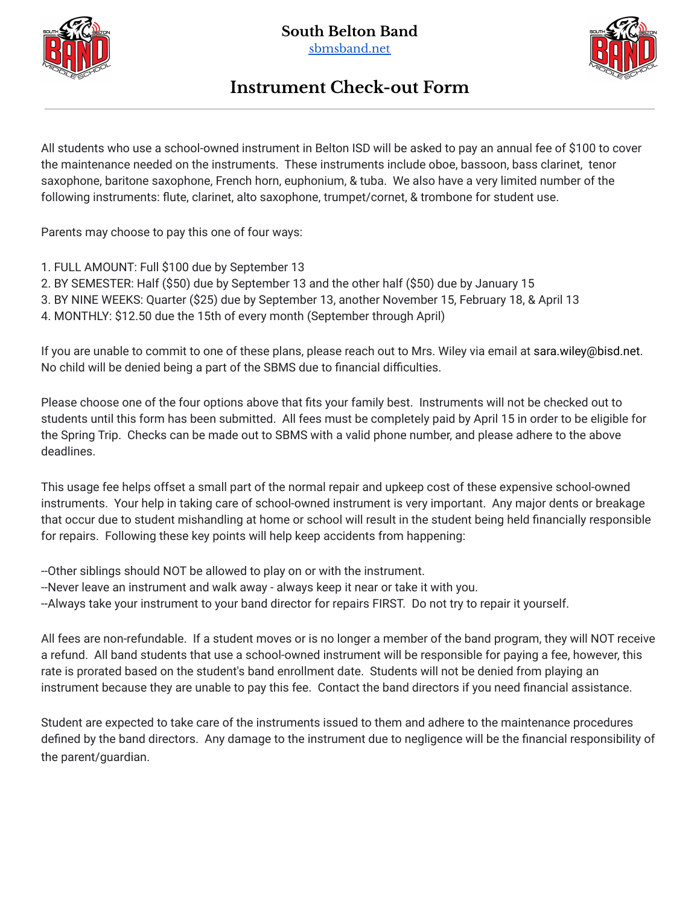



## **Instrument Check-out Form**

All students who use a school-owned instrument in Belton ISD will be asked to pay an annual fee of \$100 to cover the maintenance needed on the instruments. These instruments include oboe, bassoon, bass clarinet, tenor saxophone, baritone saxophone, French horn, euphonium, & tuba. We also have a very limited number of the following instruments: flute, clarinet, alto saxophone, trumpet/cornet, & trombone for student use.

Parents may choose to pay this one of four ways:

- 1. FULL AMOUNT: Full \$100 due by September 13
- 2. BY SEMESTER: Half (\$50) due by September 13 and the other half (\$50) due by January 15
- 3. BY NINE WEEKS: Quarter (\$25) due by September 13, another November 15, February 18, & April 13
- 4. MONTHLY: \$12.50 due the 15th of every month (September through April)

If you are unable to commit to one of these plans, please reach out to Mrs. Wiley via email at sara.wiley@bisd.net. No child will be denied being a part of the SBMS due to financial difficulties.

Please choose one of the four options above that fits your family best. Instruments will not be checked out to students until this form has been submitted. All fees must be completely paid by April 15 in order to be eligible for the Spring Trip. Checks can be made out to SBMS with a valid phone number, and please adhere to the above deadlines.

This usage fee helps offset a small part of the normal repair and upkeep cost of these expensive school-owned instruments. Your help in taking care of school-owned instrument is very important. Any major dents or breakage that occur due to student mishandling at home or school will result in the student being held financially responsible for repairs. Following these key points will help keep accidents from happening:

- --Other siblings should NOT be allowed to play on or with the instrument.
- --Never leave an instrument and walk away always keep it near or take it with you.
- --Always take your instrument to your band director for repairs FIRST. Do not try to repair it yourself.

All fees are non-refundable. If a student moves or is no longer a member of the band program, they will NOT receive a refund. All band students that use a school-owned instrument will be responsible for paying a fee, however, this rate is prorated based on the student's band enrollment date. Students will not be denied from playing an instrument because they are unable to pay this fee. Contact the band directors if you need financial assistance.

Student are expected to take care of the instruments issued to them and adhere to the maintenance procedures defined by the band directors. Any damage to the instrument due to negligence will be the financial responsibility of the parent/guardian.